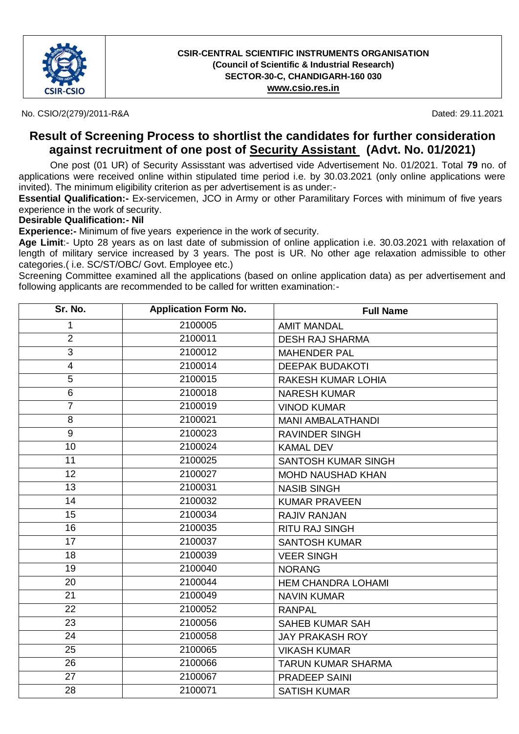

No. CSIO/2(279)/2011-R&A Dated: 29.11.2021

### **Result of Screening Process to shortlist the candidates for further consideration against recruitment of one post of Security Assistant (Advt. No. 01/2021)**

One post (01 UR) of Security Assisstant was advertised vide Advertisement No. 01/2021. Total **79** no. of applications were received online within stipulated time period i.e. by 30.03.2021 (only online applications were invited). The minimum eligibility criterion as per advertisement is as under:-

**Essential Qualification:-** Ex-servicemen, JCO in Army or other Paramilitary Forces with minimum of five years experience in the work of security.

#### **Desirable Qualification:- Nil**

**Experience:-** Minimum of five years experience in the work of security.

**Age Limit**:- Upto 28 years as on last date of submission of online application i.e. 30.03.2021 with relaxation of length of military service increased by 3 years. The post is UR. No other age relaxation admissible to other categories.( i.e. SC/ST/OBC/ Govt. Employee etc.)

Screening Committee examined all the applications (based on online application data) as per advertisement and following applicants are recommended to be called for written examination:-

| Sr. No.                  | <b>Application Form No.</b> | <b>Full Name</b>           |
|--------------------------|-----------------------------|----------------------------|
| 1                        | 2100005                     | <b>AMIT MANDAL</b>         |
| $\overline{2}$           | 2100011                     | <b>DESH RAJ SHARMA</b>     |
| $\overline{3}$           | 2100012                     | <b>MAHENDER PAL</b>        |
| $\overline{\mathcal{A}}$ | 2100014                     | <b>DEEPAK BUDAKOTI</b>     |
| 5                        | 2100015                     | <b>RAKESH KUMAR LOHIA</b>  |
| 6                        | 2100018                     | <b>NARESH KUMAR</b>        |
| $\overline{7}$           | 2100019                     | <b>VINOD KUMAR</b>         |
| 8                        | 2100021                     | <b>MANI AMBALATHANDI</b>   |
| 9                        | 2100023                     | <b>RAVINDER SINGH</b>      |
| 10                       | 2100024                     | <b>KAMAL DEV</b>           |
| 11                       | 2100025                     | <b>SANTOSH KUMAR SINGH</b> |
| 12                       | 2100027                     | <b>MOHD NAUSHAD KHAN</b>   |
| 13                       | 2100031                     | <b>NASIB SINGH</b>         |
| 14                       | 2100032                     | <b>KUMAR PRAVEEN</b>       |
| 15                       | 2100034                     | <b>RAJIV RANJAN</b>        |
| 16                       | 2100035                     | <b>RITU RAJ SINGH</b>      |
| 17                       | 2100037                     | <b>SANTOSH KUMAR</b>       |
| 18                       | 2100039                     | <b>VEER SINGH</b>          |
| 19                       | 2100040                     | <b>NORANG</b>              |
| 20                       | 2100044                     | <b>HEM CHANDRA LOHAMI</b>  |
| 21                       | 2100049                     | <b>NAVIN KUMAR</b>         |
| 22                       | 2100052                     | <b>RANPAL</b>              |
| 23                       | 2100056                     | <b>SAHEB KUMAR SAH</b>     |
| 24                       | 2100058                     | <b>JAY PRAKASH ROY</b>     |
| $\overline{25}$          | 2100065                     | <b>VIKASH KUMAR</b>        |
| 26                       | 2100066                     | <b>TARUN KUMAR SHARMA</b>  |
| 27                       | 2100067                     | <b>PRADEEP SAINI</b>       |
| 28                       | 2100071                     | <b>SATISH KUMAR</b>        |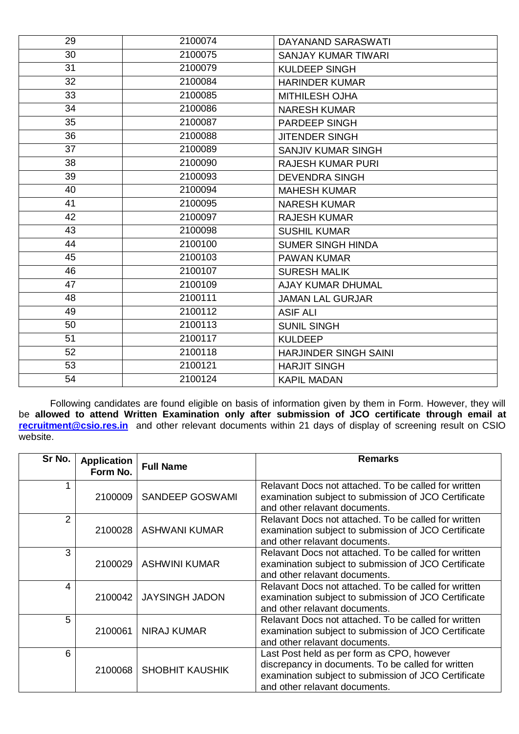| 29 | 2100074 | DAYANAND SARASWATI           |
|----|---------|------------------------------|
| 30 | 2100075 | <b>SANJAY KUMAR TIWARI</b>   |
| 31 | 2100079 | <b>KULDEEP SINGH</b>         |
| 32 | 2100084 | <b>HARINDER KUMAR</b>        |
| 33 | 2100085 | <b>MITHILESH OJHA</b>        |
| 34 | 2100086 | <b>NARESH KUMAR</b>          |
| 35 | 2100087 | PARDEEP SINGH                |
| 36 | 2100088 | <b>JITENDER SINGH</b>        |
| 37 | 2100089 | <b>SANJIV KUMAR SINGH</b>    |
| 38 | 2100090 | <b>RAJESH KUMAR PURI</b>     |
| 39 | 2100093 | <b>DEVENDRA SINGH</b>        |
| 40 | 2100094 | <b>MAHESH KUMAR</b>          |
| 41 | 2100095 | <b>NARESH KUMAR</b>          |
| 42 | 2100097 | <b>RAJESH KUMAR</b>          |
| 43 | 2100098 | <b>SUSHIL KUMAR</b>          |
| 44 | 2100100 | <b>SUMER SINGH HINDA</b>     |
| 45 | 2100103 | <b>PAWAN KUMAR</b>           |
| 46 | 2100107 | <b>SURESH MALIK</b>          |
| 47 | 2100109 | <b>AJAY KUMAR DHUMAL</b>     |
| 48 | 2100111 | <b>JAMAN LAL GURJAR</b>      |
| 49 | 2100112 | <b>ASIF ALI</b>              |
| 50 | 2100113 | <b>SUNIL SINGH</b>           |
| 51 | 2100117 | <b>KULDEEP</b>               |
| 52 | 2100118 | <b>HARJINDER SINGH SAINI</b> |
| 53 | 2100121 | <b>HARJIT SINGH</b>          |
| 54 | 2100124 | <b>KAPIL MADAN</b>           |

Following candidates are found eligible on basis of information given by them in Form. However, they will be **allowed to attend Written Examination only after submission of JCO certificate through email at [recruitment@csio.res.in](mailto:recruitment@csio.res.in)** and other relevant documents within 21 days of display of screening result on CSIO website.

| Sr No. | <b>Application</b><br>Form No. | <b>Full Name</b>       | <b>Remarks</b>                                                                                                                                                                            |
|--------|--------------------------------|------------------------|-------------------------------------------------------------------------------------------------------------------------------------------------------------------------------------------|
|        | 2100009                        | <b>SANDEEP GOSWAMI</b> | Relavant Docs not attached. To be called for written<br>examination subject to submission of JCO Certificate<br>and other relavant documents.                                             |
| 2      | 2100028                        | <b>ASHWANI KUMAR</b>   | Relavant Docs not attached. To be called for written<br>examination subject to submission of JCO Certificate<br>and other relavant documents.                                             |
| 3      | 2100029                        | <b>ASHWINI KUMAR</b>   | Relavant Docs not attached. To be called for written<br>examination subject to submission of JCO Certificate<br>and other relavant documents.                                             |
| 4      | 2100042                        | <b>JAYSINGH JADON</b>  | Relavant Docs not attached. To be called for written<br>examination subject to submission of JCO Certificate<br>and other relavant documents.                                             |
| 5      | 2100061                        | <b>NIRAJ KUMAR</b>     | Relavant Docs not attached. To be called for written<br>examination subject to submission of JCO Certificate<br>and other relavant documents.                                             |
| 6      | 2100068                        | <b>SHOBHIT KAUSHIK</b> | Last Post held as per form as CPO, however<br>discrepancy in documents. To be called for written<br>examination subject to submission of JCO Certificate<br>and other relavant documents. |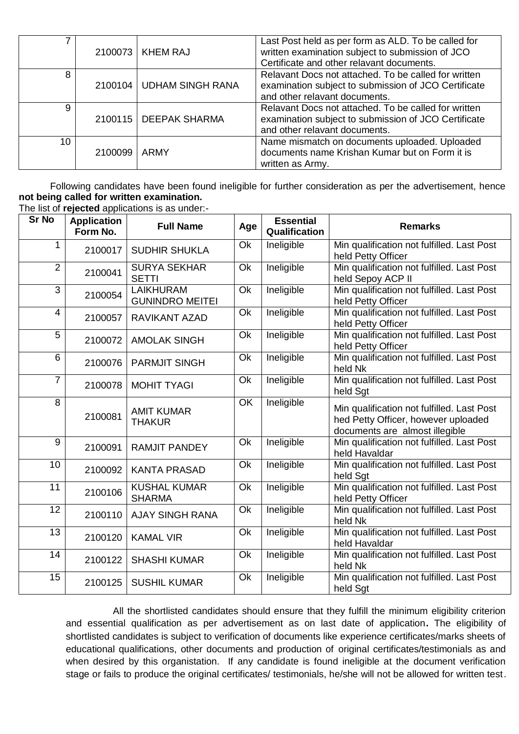|    |         | 2100073   KHEM RAJ         | Last Post held as per form as ALD. To be called for<br>written examination subject to submission of JCO<br>Certificate and other relavant documents. |
|----|---------|----------------------------|------------------------------------------------------------------------------------------------------------------------------------------------------|
| 8  |         | 2100104   UDHAM SINGH RANA | Relavant Docs not attached. To be called for written<br>examination subject to submission of JCO Certificate<br>and other relavant documents.        |
| 9  |         | 2100115   DEEPAK SHARMA    | Relavant Docs not attached. To be called for written<br>examination subject to submission of JCO Certificate<br>and other relavant documents.        |
| 10 | 2100099 | ARMY                       | Name mismatch on documents uploaded. Uploaded<br>documents name Krishan Kumar but on Form it is<br>written as Army.                                  |

Following candidates have been found ineligible for further consideration as per the advertisement, hence **not being called for written examination.**  The list of **rejected** applications is as under:-

| <b>Sr No</b>    | <b>Application</b><br>Form No. | <b>Full Name</b>                           | Age       | <b>Essential</b><br>Qualification | <b>Remarks</b>                                                                                                      |
|-----------------|--------------------------------|--------------------------------------------|-----------|-----------------------------------|---------------------------------------------------------------------------------------------------------------------|
| $\mathbf 1$     | 2100017                        | <b>SUDHIR SHUKLA</b>                       | <b>Ok</b> | Ineligible                        | Min qualification not fulfilled. Last Post<br>held Petty Officer                                                    |
| $\overline{2}$  | 2100041                        | <b>SURYA SEKHAR</b><br><b>SETTI</b>        | Ok        | Ineligible                        | Min qualification not fulfilled. Last Post<br>held Sepoy ACP II                                                     |
| $\overline{3}$  | 2100054                        | <b>LAIKHURAM</b><br><b>GUNINDRO MEITEI</b> | Ok        | Ineligible                        | Min qualification not fulfilled. Last Post<br>held Petty Officer                                                    |
| 4               | 2100057                        | <b>RAVIKANT AZAD</b>                       | Ok        | Ineligible                        | Min qualification not fulfilled. Last Post<br>held Petty Officer                                                    |
| 5               | 2100072                        | <b>AMOLAK SINGH</b>                        | Ok        | Ineligible                        | Min qualification not fulfilled. Last Post<br>held Petty Officer                                                    |
| 6               | 2100076                        | <b>PARMJIT SINGH</b>                       | <b>Ok</b> | Ineligible                        | Min qualification not fulfilled. Last Post<br>held Nk                                                               |
| $\overline{7}$  | 2100078                        | <b>MOHIT TYAGI</b>                         | Ok        | Ineligible                        | Min qualification not fulfilled. Last Post<br>held Sgt                                                              |
| 8               | 2100081                        | <b>AMIT KUMAR</b><br><b>THAKUR</b>         | OK        | Ineligible                        | Min qualification not fulfilled. Last Post<br>hed Petty Officer, however uploaded<br>documents are almost illegible |
| 9               | 2100091                        | <b>RAMJIT PANDEY</b>                       | Ok        | Ineligible                        | Min qualification not fulfilled. Last Post<br>held Havaldar                                                         |
| 10              | 2100092                        | <b>KANTA PRASAD</b>                        | Ok        | Ineligible                        | Min qualification not fulfilled. Last Post<br>held Sgt                                                              |
| 11              | 2100106                        | <b>KUSHAL KUMAR</b><br><b>SHARMA</b>       | Ok        | Ineligible                        | Min qualification not fulfilled. Last Post<br>held Petty Officer                                                    |
| $\overline{12}$ | 2100110                        | <b>AJAY SINGH RANA</b>                     | Ok        | Ineligible                        | Min qualification not fulfilled. Last Post<br>held Nk                                                               |
| 13              | 2100120                        | <b>KAMAL VIR</b>                           | Ok        | Ineligible                        | Min qualification not fulfilled. Last Post<br>held Havaldar                                                         |
| 14              | 2100122                        | <b>SHASHI KUMAR</b>                        | Ok        | Ineligible                        | Min qualification not fulfilled. Last Post<br>held Nk                                                               |
| 15              | 2100125                        | <b>SUSHIL KUMAR</b>                        | Ok        | Ineligible                        | Min qualification not fulfilled. Last Post<br>held Sgt                                                              |

All the shortlisted candidates should ensure that they fulfill the minimum eligibility criterion and essential qualification as per advertisement as on last date of application**.** The eligibility of shortlisted candidates is subject to verification of documents like experience certificates/marks sheets of educational qualifications, other documents and production of original certificates/testimonials as and when desired by this organistation. If any candidate is found ineligible at the document verification stage or fails to produce the original certificates/ testimonials, he/she will not be allowed for written test.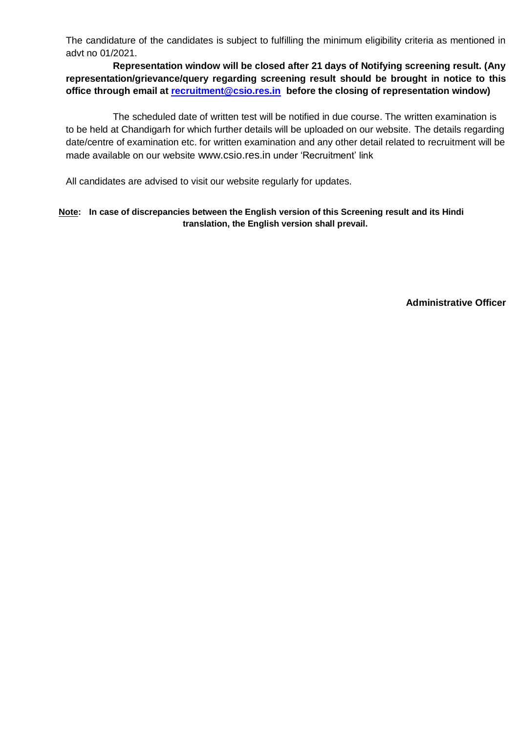The candidature of the candidates is subject to fulfilling the minimum eligibility criteria as mentioned in advt no 01/2021.

**Representation window will be closed after 21 days of Notifying screening result. (Any representation/grievance/query regarding screening result should be brought in notice to this office through email at [recruitment@csio.res.in](mailto:recruitment@csio.res.in) before the closing of representation window)**

The scheduled date of written test will be notified in due course. The written examination is to be held at Chandigarh for which further details will be uploaded on our website. The details regarding date/centre of examination etc. for written examination and any other detail related to recruitment will be made available on our website [www.csio.res.in](http://www.csio.res.in/) under 'Recruitment' link

All candidates are advised to visit our website regularly for updates.

#### **Note: In case of discrepancies between the English version of this Screening result and its Hindi translation, the English version shall prevail.**

**Administrative Officer**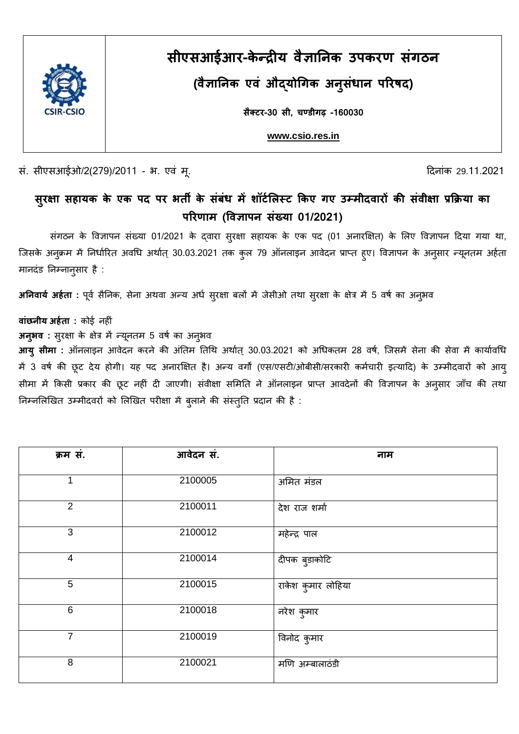

# **सीएसआईआर-के न्द्रीय वैज्ञानिक उपक्ण करग्स प**

**(ञानिक उपक एञ औद्य वैजोग क अप ुस ध प ररषद)**

**साक््ैर-30 सी,्चण्डी ्-160030**

**[www.csio.res.in](http://www.csio.res.in/)**

सं. सीएसआईओ/2(279)/2011 - भ. एवं मू. दिन कार्यात कार्यात कार्यात करते हैं कि विलंक 29.11.2021

## सुरक्षा सहायक के एक पद पर भर्ती के सबध में शांटेलिस्ट किए गए उम्मीदवारों की सर्वीक्षा प्रक्रिया का परिणाम (विज्ञापन संख्या 01/2021)

संगठन के विज्ञापन संख्या 01/2021 के दवारा सुरक्षा सहायक के एक पद (01 अनारक्षित) के लिए विज्ञापन दिया गया था, जिसके अनुक्रम में निर्धारित अवधि अर्थात् 30.03.2021 तक कुल 79 ऑनलाइन आवेदन प्राप्त हुए। विज्ञापन के अनुसार न्यूनतम अर्हता मानदंड निम्नानुसार है :

**अनिवार्य अर्हता** : पूर्व सैनिक, सेना अथवा अन्य अर्ध सुरक्षा बलों में जेसीओ तथा सुरक्षा के क्षेत्र में 5 वर्ष का अनुभव

**बांछनीय अर्हता :** कोई नहीं

**अनुभव**: सुरक्षा के क्षेत्र में न्यूनतम 5 वर्ष का अनुभव

**आयु सीमा** : ऑनलाइन आवेदन करने की अंतिम तिथि अर्थात् 30.03.2021 को अधिकतम 28 वर्ष, जिसमें सेना की सेवा में कार्यावधि में 3 वर्ष की छूट देय होगी। यह पद अनारक्षित है। अन्य वर्गों (एस/एसटी/ओबीसी/सरकारी कर्मचारी इत्यादि) के उम्मीदवारों को आयु सीमा में किसी प्रकार की छूट नहीं दी जाएगी। संवीक्षा समिति ने ऑनलाइन प्राप्त आवदेनों की विज्ञापन के अनुसार जाँच की तथा निम्नलिखित उम्मीदवरों को लिखित परीक्षा में बुलाने की संस्तुति प्रदान की है :

| क्रम सं.                 | आवेदन सं. | नाम                |
|--------------------------|-----------|--------------------|
| 1                        | 2100005   | अमित मंडल          |
| $\overline{2}$           | 2100011   | देश राज शर्मा      |
| 3                        | 2100012   | महेन्द्र पाल       |
| $\overline{\mathcal{A}}$ | 2100014   | दीपक बुडाकोटि      |
| 5                        | 2100015   | राकेश कुमार लोहिया |
| 6                        | 2100018   | नरेश कुमार         |
| $\overline{7}$           | 2100019   | विनोद कुमार        |
| 8                        | 2100021   | मणि अम्बालाठंडी    |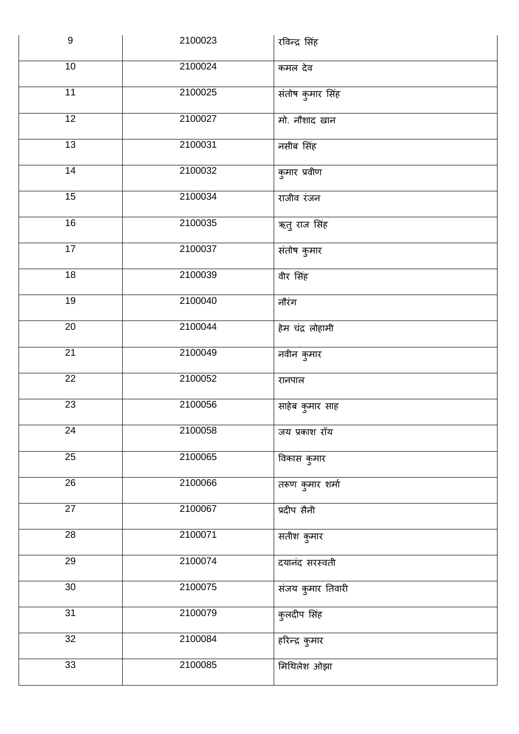| $\boldsymbol{9}$ | 2100023 | रविन्द्र सिंह     |
|------------------|---------|-------------------|
| 10               | 2100024 | कमल देव           |
| $\overline{11}$  | 2100025 | संतोष कुमार सिंह  |
| 12               | 2100027 | मो. नौशाद खान     |
| 13               | 2100031 | नसीब सिंह         |
| $\overline{14}$  | 2100032 | कुमार प्रवीण      |
| 15               | 2100034 | राजीव रंजन        |
| 16               | 2100035 | ऋतु राज सिंह      |
| $\overline{17}$  | 2100037 | संतोष कुमार       |
| 18               | 2100039 | वीर सिंह          |
| $\overline{19}$  | 2100040 | नौरंग             |
| $\overline{20}$  | 2100044 | हेम चंद्र लोहामी  |
| $\overline{21}$  | 2100049 | नवीन कुमार        |
| $\overline{22}$  | 2100052 | रानपाल            |
| 23               | 2100056 | साहेब कुमार साह   |
| 24               | 2100058 | जय प्रकाश रॉय     |
| $\overline{25}$  | 2100065 | विकास कुमार       |
| 26               | 2100066 | तरूण कुमार शर्मा  |
| $\overline{27}$  | 2100067 | प्रदीप सैनी       |
| 28               | 2100071 | सतीश कुमार        |
| $\overline{29}$  | 2100074 | दयानंद सरस्वती    |
| $\overline{30}$  | 2100075 | संजय कुमार तिवारी |
| 31               | 2100079 | कुलदीप सिंह       |
| 32               | 2100084 | हरिन्द्र कुमार    |
| 33               | 2100085 | मिथिलेश ओझा       |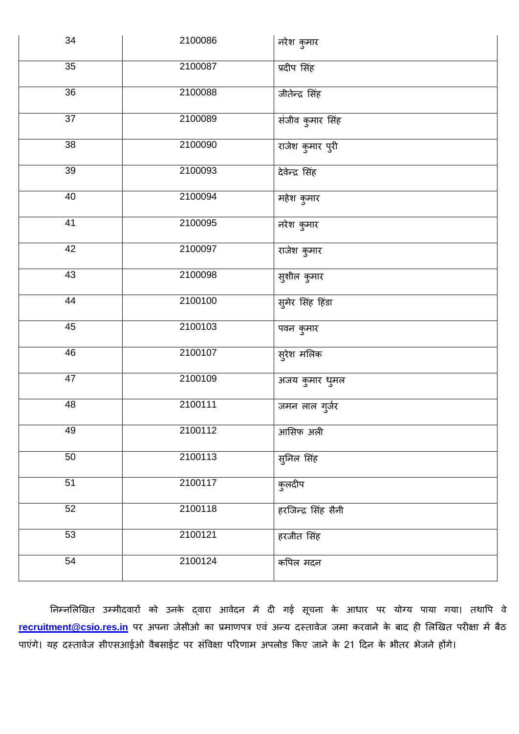| 34 | 2100086 | नरेश कुमार          |
|----|---------|---------------------|
| 35 | 2100087 | प्रदीप सिंह         |
| 36 | 2100088 | जीतेन्द्र सिंह      |
| 37 | 2100089 | संजीव कुमार सिंह    |
| 38 | 2100090 | राजेश कुमार पुरी    |
| 39 | 2100093 | देवेन्द्र सिंह      |
| 40 | 2100094 | महेश कुमार          |
| 41 | 2100095 | नरेश कुमार          |
| 42 | 2100097 | राजेश कुमार         |
| 43 | 2100098 | सुशील कुमार         |
| 44 | 2100100 | सुमेर सिंह हिंडा    |
| 45 | 2100103 | पवन कुमार           |
| 46 | 2100107 | सुरेश मलिक          |
| 47 | 2100109 | अजय कुमार धुमल      |
| 48 | 2100111 | जमन लाल गुर्जर      |
| 49 | 2100112 | आसिफ अली            |
| 50 | 2100113 | सुनिल सिंह          |
| 51 | 2100117 | कुलदीप              |
| 52 | 2100118 | हरजिन्द्र सिंह सैनी |
| 53 | 2100121 | हरजीत सिंह          |
| 54 | 2100124 | कपिल मदन            |

निम्नलिखित उम्मीदवारों को उनके द्वारा आवेदन में दी गई सूचना के आधार पर योग्य पाया गया। तथापि वे [recruitment@csio.res.in](mailto:recruitment@csio.res.in) पर अपना जेसीओ का प्रमाणपत्र एवं अन्य दस्तावेज जमा करवाने के बाद ही लिखित परीक्षा में बैठ पाएंगे। यह दस्तावेज सीएसआईओ वैबसाईट पर संविक्षा परिणाम अपलोड किए जाने के 21 दिन के भीतर भेजने होंगे।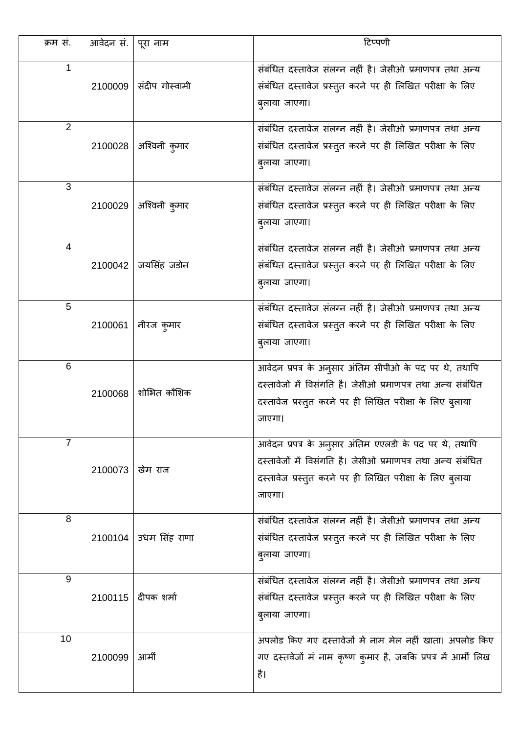| क्रम सं.       | आवेदन सं. | पूरा नाम             | टिप्पणी                                                                                                                                                                                      |
|----------------|-----------|----------------------|----------------------------------------------------------------------------------------------------------------------------------------------------------------------------------------------|
| 1              | 2100009   | संदीप गोस्वामी       | संबंधित दस्तावेज संलग्न नहीं है। जेसीओ प्रमाणपत्र तथा अन्य<br>संबंधित दस्तावेज प्रस्तुत करने पर ही लिखित परीक्षा के लिए<br>बुलाया जाएगा।                                                     |
| $\overline{2}$ | 2100028   | अश्विनी कुमार        | संबंधित दस्तावेज संलग्न नहीं है। जेसीओ प्रमाणपत्र तथा अन्य<br>संबंधित दस्तावेज प्रस्तुत करने पर ही लिखित परीक्षा के लिए<br>बुलाया जाएगा।                                                     |
| 3              | 2100029   | अश्विनी कुमार        | संबंधित दस्तावेज संलग्न नहीं है। जेसीओ प्रमाणपत्र तथा अन्य<br>संबंधित दस्तावेज प्रस्तुत करने पर ही लिखित परीक्षा के लिए<br>बुलाया जाएगा।                                                     |
| 4              | 2100042   | जयसिंह जडोन          | संबंधित दस्तावेज संलग्न नहीं है। जेसीओ प्रमाणपत्र तथा अन्य<br>संबंधित दस्तावेज प्रस्तुत करने पर ही लिखित परीक्षा के लिए<br>बुलाया जाएगा।                                                     |
| 5              | 2100061   | नीरज कुमार           | संबंधित दस्तावेज संलग्न नहीं है। जेसीओ प्रमाणपत्र तथा अन्य<br>संबंधित दस्तावेज प्रस्तुत करने पर ही लिखित परीक्षा के लिए<br>बुलाया जाएगा।                                                     |
| 6              | 2100068   | शोभित कौशिक          | आवेदन प्रपत्र के अनुसार अंतिम सीपीओ के पद पर थे, तथापि<br>दस्तावेजों में विसंगति है। जेसीओ प्रमाणपत्र तथा अन्य संबंधित<br>दस्तावेज प्रस्तुत करने पर ही लिखित परीक्षा के लिए ब्लाया<br>जाएगा। |
| 7              | 2100073   | खेम राज              | आवेदन प्रपत्र के अनुसार अंतिम एएलडी के पद पर थे, तथापि<br>दस्तावेजों में विसंगति है। जेसीओ प्रमाणपत्र तथा अन्य संबंधित<br>दस्तावेज प्रस्तुत करने पर ही लिखित परीक्षा के लिए बुलाया<br>जाएगा। |
| 8              | 2100104   | उधम सिंह राणा        | संबंधित दस्तावेज संलग्न नहीं है। जेसीओ प्रमाणपत्र तथा अन्य<br>संबंधित दस्तावेज प्रस्तुत करने पर ही लिखित परीक्षा के लिए<br>बुलाया जाएगा।                                                     |
| 9              |           | 2100115   दीपक शर्मा | संबंधित दस्तावेज संलग्न नहीं है। जेसीओ प्रमाणपत्र तथा अन्य<br>संबंधित दस्तावेज प्रस्तुत करने पर ही लिखित परीक्षा के लिए<br>बुलाया जाएगा।                                                     |
| 10             | 2100099   | आर्मी                | अपलोड किए गए दस्तावेजों में नाम मेल नहीं खाता। अपलोड किए<br>गए दस्तवेजों मं नाम कृष्ण कुमार है, जबकि प्रपत्र में आर्मी लिख<br>है।                                                            |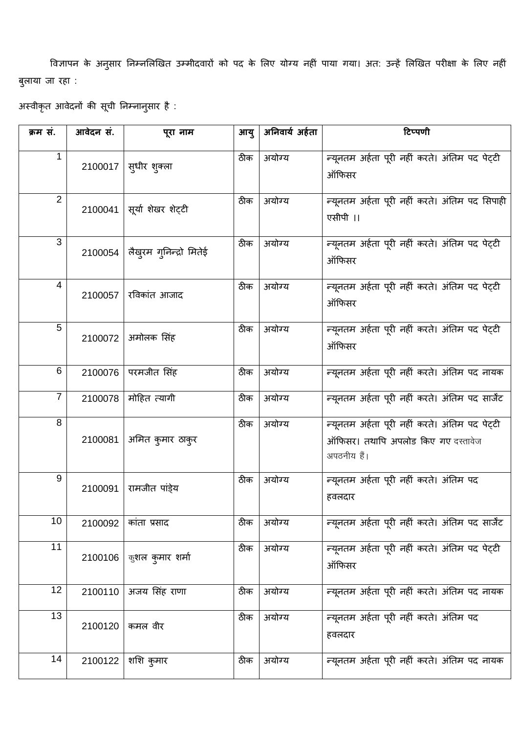विज्ञापन के अनुसार निम्नलिखित उम्मीदवारों को पद के लिए योग्य नहीं पाया गया। अत: उन्हें लिखित परीक्षा के लिए नहीं बुलाया जा रहा :

अस्वीकृत आवेदनों की सूची निम्नानुसार है :

| क्रम सं.       | आवेदन सं. | पूरा नाम                | आयु | अनिवार्य अर्हता | टिप्पणी                                                                                             |
|----------------|-----------|-------------------------|-----|-----------------|-----------------------------------------------------------------------------------------------------|
| 1              | 2100017   | स्धीर शुक्ला            | ठीक | अयोग्य          | न्यूनतम अर्हता पूरी नहीं करते। अंतिम पद पेट्टी<br>ऑफिसर                                             |
| $\overline{2}$ | 2100041   | सूर्या शेखर शेट्टी      | ठीक | अयोग्य          | न्यूनतम अर्हता पूरी नहीं करते। अंतिम पद सिपाही<br>एसीपी ।।                                          |
| $\overline{3}$ | 2100054   | लैखुरम गुनिन्द्रो मितेई | ठीक | अयोग्य          | न्यूनतम अर्हता पूरी नहीं करते। अंतिम पद पेट्टी<br>ऑफिसर                                             |
| $\overline{4}$ | 2100057   | रविकांत आजाद            | ठीक | अयोग्य          | न्यूनतम अर्हता पूरी नहीं करते। अंतिम पद पेट्टी<br>ऑफिसर                                             |
| 5              | 2100072   | अमोलक सिंह              | ठीक | अयोग्य          | न्यूनतम अर्हता पूरी नहीं करते। अंतिम पद पेट्टी<br>ऑफिसर                                             |
| $\,6$          | 2100076   | परमजीत सिंह             | ठीक | अयोग्य          | न्यूनतम अर्हता पूरी नहीं करते। अंतिम पद नायक                                                        |
| $\overline{7}$ | 2100078   | मोहित त्यागी            | ठीक | अयोग्य          | न्यूनतम अर्हता पूरी नहीं करते। अंतिम पद सार्जेट                                                     |
| 8              | 2100081   | अमित कुमार ठाकुर        | ठीक | अयोग्य          | न्यूनतम अर्हता पूरी नहीं करते। अंतिम पद पेट्टी<br>ऑफिसर। तथापि अपलोड किए गए दस्तावेज<br>अपठनीय हैं। |
| 9              | 2100091   | रामजीत पांडे्य          | ठीक | अयोग्य          | न्यूनतम अर्हता पूरी नहीं करते। अंतिम पद<br>हवलदार                                                   |
| 10             | 2100092   | कांता प्रसाद            | ठीक | अयोग्य          | न्यूनतम अर्हता पूरी नहीं करते। अंतिम पद सार्जेंट                                                    |
| 11             | 2100106   | कुशल कुमार शर्मा        | ठीक | अयोग्य          | न्यूनतम अर्हता पूरी नहीं करते। अंतिम पद पेट्टी<br>ऑफिसर                                             |
| 12             | 2100110   | अजय सिंह राणा           | ठीक | अयोग्य          | न्यूनतम अर्हता पूरी नहीं करते। अंतिम पद नायक                                                        |
| 13             | 2100120   | कमल वीर                 | ठीक | अयोग्य          | न्यूनतम अर्हता पूरी नहीं करते। अंतिम पद<br>हवलदार                                                   |
| 14             | 2100122   | शशि कुमार               | ठीक | अयोग्य          | न्यूनतम अर्हता पूरी नहीं करते। अंतिम पद नायक                                                        |